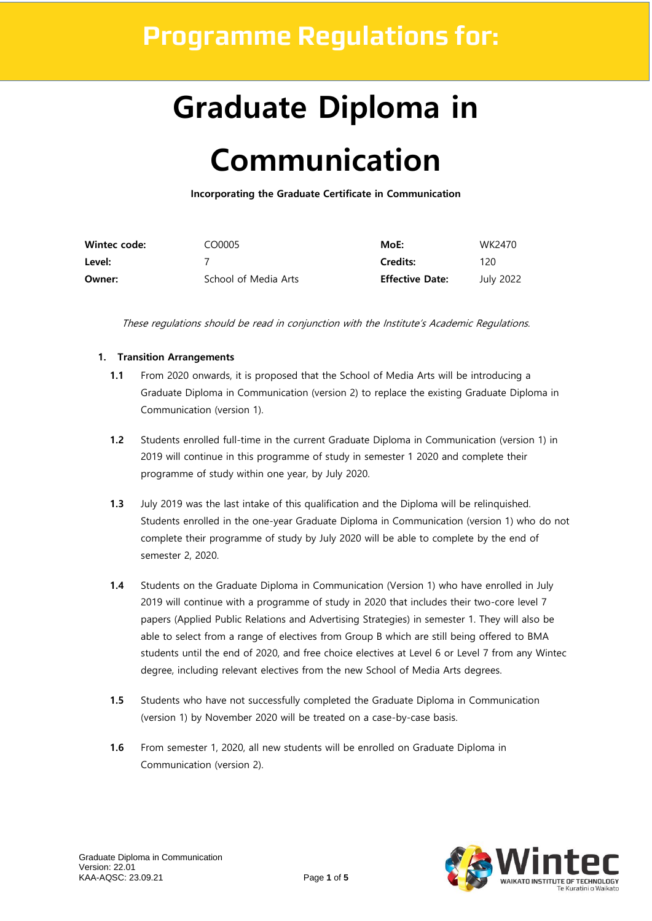### **Programme Regulations for:**

# **Graduate Diploma in**

## **Communication**

**Incorporating the Graduate Certificate in Communication** 

| Wintec code: | CO0005               | MoE:                   | WK2470    |
|--------------|----------------------|------------------------|-----------|
| Level:       |                      | <b>Credits:</b>        | 120       |
| Owner:       | School of Media Arts | <b>Effective Date:</b> | July 2022 |

These regulations should be read in conjunction with the Institute's Academic Regulations.

#### **1. Transition Arrangements**

- **1.1** From 2020 onwards, it is proposed that the School of Media Arts will be introducing a Graduate Diploma in Communication (version 2) to replace the existing Graduate Diploma in Communication (version 1).
- **1.2** Students enrolled full-time in the current Graduate Diploma in Communication (version 1) in 2019 will continue in this programme of study in semester 1 2020 and complete their programme of study within one year, by July 2020.
- **1.3** July 2019 was the last intake of this qualification and the Diploma will be relinquished. Students enrolled in the one-year Graduate Diploma in Communication (version 1) who do not complete their programme of study by July 2020 will be able to complete by the end of semester 2, 2020.
- **1.4** Students on the Graduate Diploma in Communication (Version 1) who have enrolled in July 2019 will continue with a programme of study in 2020 that includes their two-core level 7 papers (Applied Public Relations and Advertising Strategies) in semester 1. They will also be able to select from a range of electives from Group B which are still being offered to BMA students until the end of 2020, and free choice electives at Level 6 or Level 7 from any Wintec degree, including relevant electives from the new School of Media Arts degrees.
- **1.5** Students who have not successfully completed the Graduate Diploma in Communication (version 1) by November 2020 will be treated on a case-by-case basis.
- **1.6** From semester 1, 2020, all new students will be enrolled on Graduate Diploma in Communication (version 2).

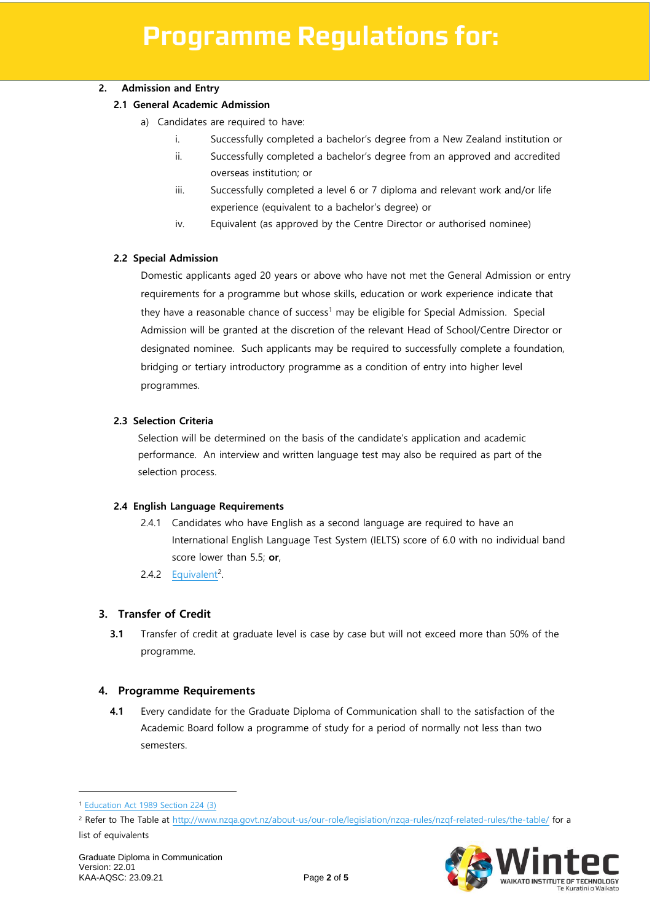#### **2. Admission and Entry**

#### **2.1 General Academic Admission**

- a) Candidates are required to have:
	- i. Successfully completed a bachelor's degree from a New Zealand institution or
	- ii. Successfully completed a bachelor's degree from an approved and accredited overseas institution; or
	- iii. Successfully completed a level 6 or 7 diploma and relevant work and/or life experience (equivalent to a bachelor's degree) or
	- iv. Equivalent (as approved by the Centre Director or authorised nominee)

#### **2.2 Special Admission**

Domestic applicants aged 20 years or above who have not met the General Admission or entry requirements for a programme but whose skills, education or work experience indicate that they have a reasonable chance of success<sup>1</sup> may be eligible for Special Admission. Special Admission will be granted at the discretion of the relevant Head of School/Centre Director or designated nominee. Such applicants may be required to successfully complete a foundation, bridging or tertiary introductory programme as a condition of entry into higher level programmes.

#### **2.3 Selection Criteria**

Selection will be determined on the basis of the candidate's application and academic performance. An interview and written language test may also be required as part of the selection process.

#### **2.4 English Language Requirements**

- 2.4.1 Candidates who have English as a second language are required to have an International English Language Test System (IELTS) score of 6.0 with no individual band score lower than 5.5; **or**,
- 2.4.2 [Equivalent](http://www.nzqa.govt.nz/about-us/our-role/legislation/nzqa-rules/nzqf-related-rules/the-table/)<sup>2</sup>.

#### **3. Transfer of Credit**

**3.1** Transfer of credit at graduate level is case by case but will not exceed more than 50% of the programme.

#### **4. Programme Requirements**

**4.1** Every candidate for the Graduate Diploma of Communication shall to the satisfaction of the Academic Board follow a programme of study for a period of normally not less than two semesters.



<sup>1</sup> [Education Act 1989 Section 224 \(3\)](http://www.legislation.govt.nz/act/public/2011/0066/latest/DLM3612075.html?search=qs_act%40bill%40regulation%40deemedreg_education+act+1989_resel_25_h&p=1) 

<sup>2</sup> Refer to The Table at<http://www.nzqa.govt.nz/about-us/our-role/legislation/nzqa-rules/nzqf-related-rules/the-table/> for a list of equivalents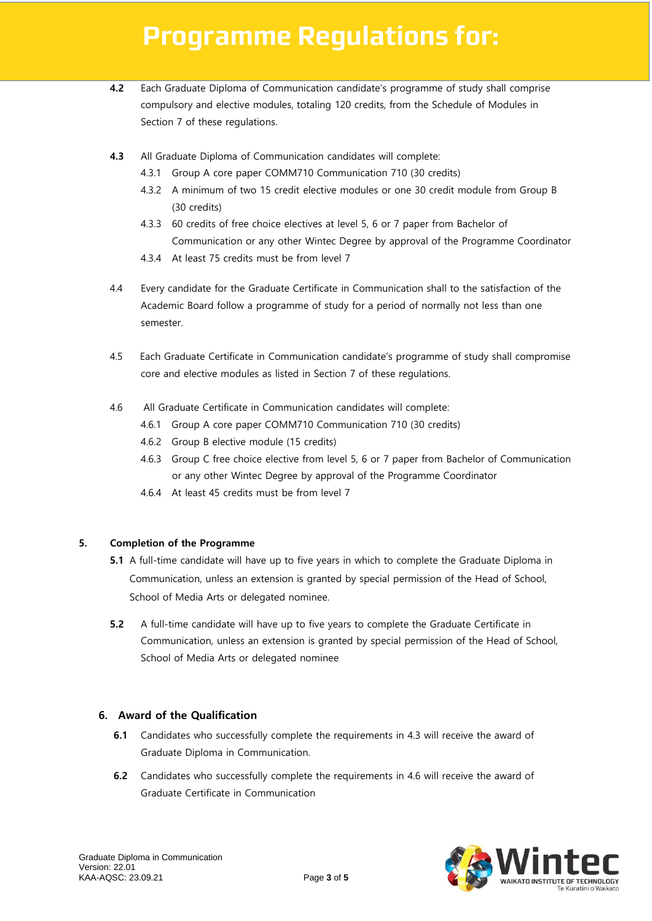### **Programme Regulations for:**

- **4.2** Each Graduate Diploma of Communication candidate's programme of study shall comprise compulsory and elective modules, totaling 120 credits, from the Schedule of Modules in Section 7 of these regulations.
- **4.3** All Graduate Diploma of Communication candidates will complete:
	- 4.3.1 Group A core paper COMM710 Communication 710 (30 credits)
	- 4.3.2 A minimum of two 15 credit elective modules or one 30 credit module from Group B (30 credits)
	- 4.3.3 60 credits of free choice electives at level 5, 6 or 7 paper from Bachelor of Communication or any other Wintec Degree by approval of the Programme Coordinator
	- 4.3.4 At least 75 credits must be from level 7
- 4.4 Every candidate for the Graduate Certificate in Communication shall to the satisfaction of the Academic Board follow a programme of study for a period of normally not less than one semester.
- 4.5 Each Graduate Certificate in Communication candidate's programme of study shall compromise core and elective modules as listed in Section 7 of these regulations.
- 4.6 All Graduate Certificate in Communication candidates will complete:
	- 4.6.1 Group A core paper COMM710 Communication 710 (30 credits)
	- 4.6.2 Group B elective module (15 credits)
	- 4.6.3 Group C free choice elective from level 5, 6 or 7 paper from Bachelor of Communication or any other Wintec Degree by approval of the Programme Coordinator
	- 4.6.4 At least 45 credits must be from level 7

#### **5. Completion of the Programme**

- **5.1** A full-time candidate will have up to five years in which to complete the Graduate Diploma in Communication, unless an extension is granted by special permission of the Head of School, School of Media Arts or delegated nominee.
- **5.2** A full-time candidate will have up to five years to complete the Graduate Certificate in Communication, unless an extension is granted by special permission of the Head of School, School of Media Arts or delegated nominee

#### **6. Award of the Qualification**

- **6.1** Candidates who successfully complete the requirements in 4.3 will receive the award of Graduate Diploma in Communication.
- **6.2** Candidates who successfully complete the requirements in 4.6 will receive the award of Graduate Certificate in Communication

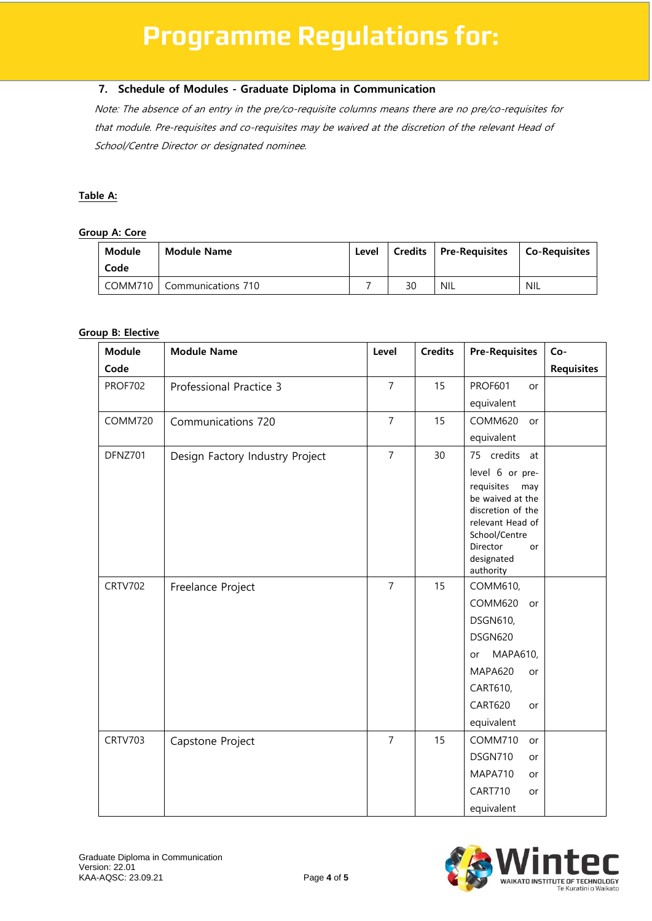#### **7. Schedule of Modules - Graduate Diploma in Communication**

Note: The absence of an entry in the pre/co-requisite columns means there are no pre/co-requisites for that module. Pre-requisites and co-requisites may be waived at the discretion of the relevant Head of School/Centre Director or designated nominee.

#### **Table A:**

#### **Group A: Core**

| Module<br>Code | <b>Module Name</b>           | Level |    | Credits   Pre-Requisites | Co-Requisites |
|----------------|------------------------------|-------|----|--------------------------|---------------|
|                | COMM710   Communications 710 |       | 30 | NIL                      | <b>NIL</b>    |

#### **Group B: Elective**

| <b>Module</b>  | <b>Module Name</b>              | Level          | <b>Credits</b> | <b>Pre-Requisites</b>                 | Co-               |
|----------------|---------------------------------|----------------|----------------|---------------------------------------|-------------------|
| Code           |                                 |                |                |                                       | <b>Requisites</b> |
| <b>PROF702</b> | Professional Practice 3         | $\overline{7}$ | 15             | <b>PROF601</b><br>or                  |                   |
|                |                                 |                |                | equivalent                            |                   |
| COMM720        | Communications 720              | $\overline{7}$ | 15             | COMM620<br>or                         |                   |
|                |                                 |                |                | equivalent                            |                   |
| DFNZ701        | Design Factory Industry Project | $\overline{7}$ | 30             | 75 credits at                         |                   |
|                |                                 |                |                | level 6 or pre-                       |                   |
|                |                                 |                |                | requisites<br>may<br>be waived at the |                   |
|                |                                 |                |                | discretion of the                     |                   |
|                |                                 |                |                | relevant Head of                      |                   |
|                |                                 |                |                | School/Centre<br>Director<br>or       |                   |
|                |                                 |                |                | designated                            |                   |
|                |                                 |                |                | authority                             |                   |
| <b>CRTV702</b> | Freelance Project               | $\overline{7}$ | 15             | COMM610,                              |                   |
|                |                                 |                |                | COMM620<br>or                         |                   |
|                |                                 |                |                | <b>DSGN610,</b>                       |                   |
|                |                                 |                |                | DSGN620                               |                   |
|                |                                 |                |                | MAPA610,<br>or                        |                   |
|                |                                 |                |                | <b>MAPA620</b><br>or                  |                   |
|                |                                 |                |                | CART610,                              |                   |
|                |                                 |                |                | <b>CART620</b><br>or                  |                   |
|                |                                 |                |                | equivalent                            |                   |
| <b>CRTV703</b> | Capstone Project                | $\overline{7}$ | 15             | COMM710<br>or                         |                   |
|                |                                 |                |                | DSGN710<br>or                         |                   |
|                |                                 |                |                | MAPA710<br>or                         |                   |
|                |                                 |                |                | CART710<br>or                         |                   |
|                |                                 |                |                | equivalent                            |                   |